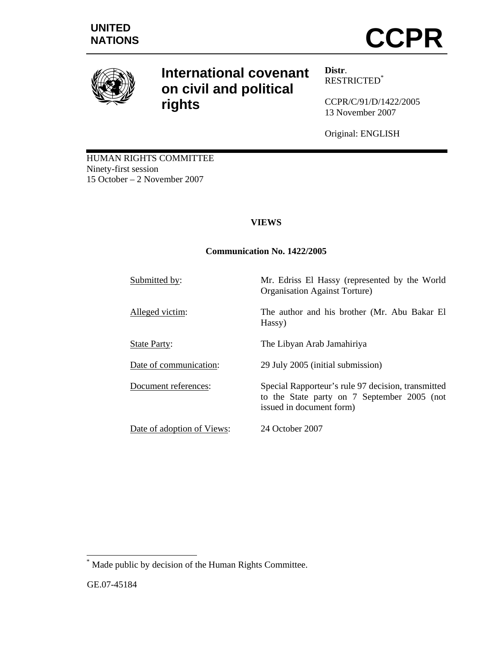

# **International covenant on civil and political rights**

**Distr**. RESTRICTED\*

CCPR/C/91/D/1422/2005 13 November 2007

Original: ENGLISH

HUMAN RIGHTS COMMITTEE Ninety-first session 15 October – 2 November 2007

# **VIEWS**

# **Communication No. 1422/2005**

Hassy)

Submitted by: Mr. Edriss El Hassy (represented by the World

Alleged victim: The author and his brother (Mr. Abu Bakar El

State Party: The Libyan Arab Jamahiriya

Date of communication: 29 July 2005 (initial submission)

Document references: Special Rapporteur's rule 97 decision, transmitted

Date of adoption of Views: 24 October 2007

issued in document form)

Organisation Against Torture)

to the State party on 7 September 2005 (not

<sup>\*</sup> Made public by decision of the Human Rights Committee.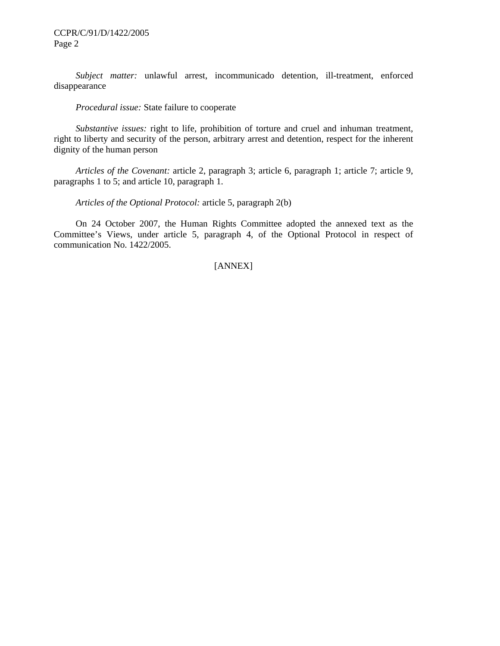*Subject matter:* unlawful arrest, incommunicado detention, ill-treatment, enforced disappearance

 *Procedural issue:* State failure to cooperate

 *Substantive issues:* right to life, prohibition of torture and cruel and inhuman treatment, right to liberty and security of the person, arbitrary arrest and detention, respect for the inherent dignity of the human person

 *Articles of the Covenant:* article 2, paragraph 3; article 6, paragraph 1; article 7; article 9, paragraphs 1 to 5; and article 10, paragraph 1.

 *Articles of the Optional Protocol:* article 5, paragraph 2(b)

 On 24 October 2007, the Human Rights Committee adopted the annexed text as the Committee's Views, under article 5, paragraph 4, of the Optional Protocol in respect of communication No. 1422/2005.

# [ANNEX]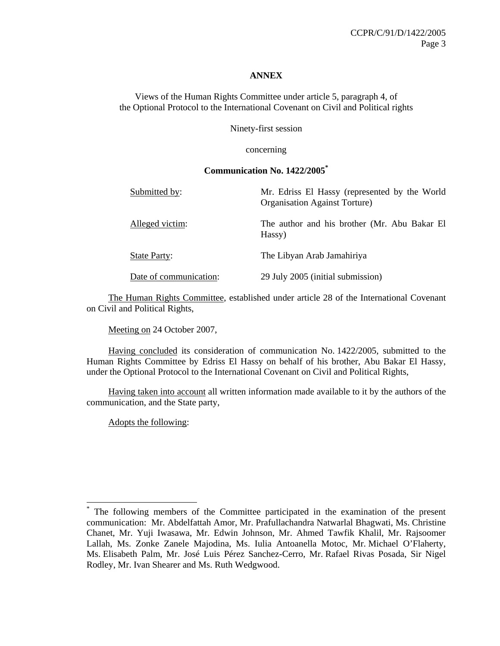#### **ANNEX**

Views of the Human Rights Committee under article 5, paragraph 4, of the Optional Protocol to the International Covenant on Civil and Political rights

Ninety-first session

concerning

#### **Communication No. 1422/2005\***

| Submitted by:          | Mr. Edriss El Hassy (represented by the World<br><b>Organisation Against Torture</b> ) |
|------------------------|----------------------------------------------------------------------------------------|
| Alleged victim:        | The author and his brother (Mr. Abu Bakar El<br>Hassy)                                 |
| <b>State Party:</b>    | The Libyan Arab Jamahiriya                                                             |
| Date of communication: | 29 July 2005 (initial submission)                                                      |

 The Human Rights Committee, established under article 28 of the International Covenant on Civil and Political Rights,

Meeting on 24 October 2007,

 Having concluded its consideration of communication No. 1422/2005, submitted to the Human Rights Committee by Edriss El Hassy on behalf of his brother, Abu Bakar El Hassy, under the Optional Protocol to the International Covenant on Civil and Political Rights,

 Having taken into account all written information made available to it by the authors of the communication, and the State party,

Adopts the following:

<sup>\*</sup> The following members of the Committee participated in the examination of the present communication: Mr. Abdelfattah Amor, Mr. Prafullachandra Natwarlal Bhagwati, Ms. Christine Chanet, Mr. Yuji Iwasawa, Mr. Edwin Johnson, Mr. Ahmed Tawfik Khalil, Mr. Rajsoomer Lallah, Ms. Zonke Zanele Majodina, Ms. Iulia Antoanella Motoc, Mr. Michael O'Flaherty, Ms. Elisabeth Palm, Mr. José Luis Pérez Sanchez-Cerro, Mr. Rafael Rivas Posada, Sir Nigel Rodley, Mr. Ivan Shearer and Ms. Ruth Wedgwood.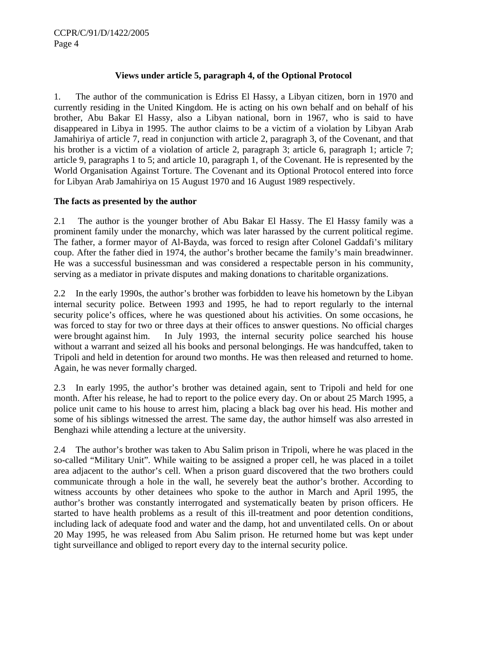## **Views under article 5, paragraph 4, of the Optional Protocol**

1. The author of the communication is Edriss El Hassy, a Libyan citizen, born in 1970 and currently residing in the United Kingdom. He is acting on his own behalf and on behalf of his brother, Abu Bakar El Hassy, also a Libyan national, born in 1967, who is said to have disappeared in Libya in 1995. The author claims to be a victim of a violation by Libyan Arab Jamahiriya of article 7, read in conjunction with article 2, paragraph 3, of the Covenant, and that his brother is a victim of a violation of article 2, paragraph 3; article 6, paragraph 1; article 7; article 9, paragraphs 1 to 5; and article 10, paragraph 1, of the Covenant. He is represented by the World Organisation Against Torture. The Covenant and its Optional Protocol entered into force for Libyan Arab Jamahiriya on 15 August 1970 and 16 August 1989 respectively.

## **The facts as presented by the author**

2.1 The author is the younger brother of Abu Bakar El Hassy. The El Hassy family was a prominent family under the monarchy, which was later harassed by the current political regime. The father, a former mayor of Al-Bayda, was forced to resign after Colonel Gaddafi's military coup. After the father died in 1974, the author's brother became the family's main breadwinner. He was a successful businessman and was considered a respectable person in his community, serving as a mediator in private disputes and making donations to charitable organizations.

2.2 In the early 1990s, the author's brother was forbidden to leave his hometown by the Libyan internal security police. Between 1993 and 1995, he had to report regularly to the internal security police's offices, where he was questioned about his activities. On some occasions, he was forced to stay for two or three days at their offices to answer questions. No official charges were brought against him. In July 1993, the internal security police searched his house without a warrant and seized all his books and personal belongings. He was handcuffed, taken to Tripoli and held in detention for around two months. He was then released and returned to home. Again, he was never formally charged.

2.3 In early 1995, the author's brother was detained again, sent to Tripoli and held for one month. After his release, he had to report to the police every day. On or about 25 March 1995, a police unit came to his house to arrest him, placing a black bag over his head. His mother and some of his siblings witnessed the arrest. The same day, the author himself was also arrested in Benghazi while attending a lecture at the university.

2.4 The author's brother was taken to Abu Salim prison in Tripoli, where he was placed in the so-called "Military Unit". While waiting to be assigned a proper cell, he was placed in a toilet area adjacent to the author's cell. When a prison guard discovered that the two brothers could communicate through a hole in the wall, he severely beat the author's brother. According to witness accounts by other detainees who spoke to the author in March and April 1995, the author's brother was constantly interrogated and systematically beaten by prison officers. He started to have health problems as a result of this ill-treatment and poor detention conditions, including lack of adequate food and water and the damp, hot and unventilated cells. On or about 20 May 1995, he was released from Abu Salim prison. He returned home but was kept under tight surveillance and obliged to report every day to the internal security police.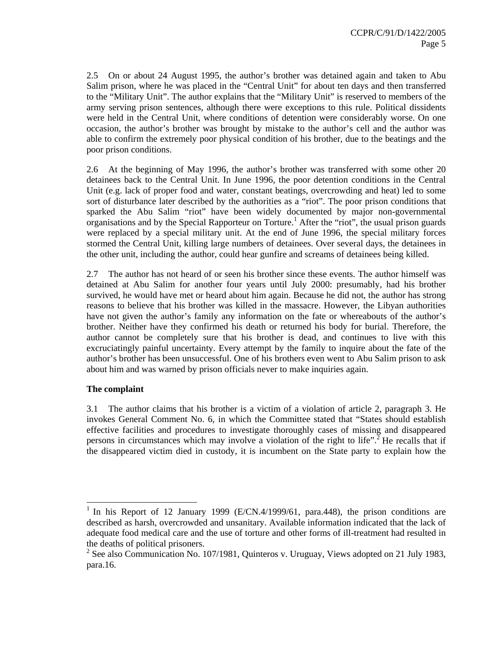2.5 On or about 24 August 1995, the author's brother was detained again and taken to Abu Salim prison, where he was placed in the "Central Unit" for about ten days and then transferred to the "Military Unit". The author explains that the "Military Unit" is reserved to members of the army serving prison sentences, although there were exceptions to this rule. Political dissidents were held in the Central Unit, where conditions of detention were considerably worse. On one occasion, the author's brother was brought by mistake to the author's cell and the author was able to confirm the extremely poor physical condition of his brother, due to the beatings and the poor prison conditions.

2.6 At the beginning of May 1996, the author's brother was transferred with some other 20 detainees back to the Central Unit. In June 1996, the poor detention conditions in the Central Unit (e.g. lack of proper food and water, constant beatings, overcrowding and heat) led to some sort of disturbance later described by the authorities as a "riot". The poor prison conditions that sparked the Abu Salim "riot" have been widely documented by major non-governmental organisations and by the Special Rapporteur on Torture.<sup>1</sup> After the "riot", the usual prison guards were replaced by a special military unit. At the end of June 1996, the special military forces stormed the Central Unit, killing large numbers of detainees. Over several days, the detainees in the other unit, including the author, could hear gunfire and screams of detainees being killed.

2.7 The author has not heard of or seen his brother since these events. The author himself was detained at Abu Salim for another four years until July 2000: presumably, had his brother survived, he would have met or heard about him again. Because he did not, the author has strong reasons to believe that his brother was killed in the massacre. However, the Libyan authorities have not given the author's family any information on the fate or whereabouts of the author's brother. Neither have they confirmed his death or returned his body for burial. Therefore, the author cannot be completely sure that his brother is dead, and continues to live with this excruciatingly painful uncertainty. Every attempt by the family to inquire about the fate of the author's brother has been unsuccessful. One of his brothers even went to Abu Salim prison to ask about him and was warned by prison officials never to make inquiries again.

#### **The complaint**

 $\overline{a}$ 

3.1 The author claims that his brother is a victim of a violation of article 2, paragraph 3. He invokes General Comment No. 6, in which the Committee stated that "States should establish effective facilities and procedures to investigate thoroughly cases of missing and disappeared persons in circumstances which may involve a violation of the right to life".<sup>2</sup> He recalls that if the disappeared victim died in custody, it is incumbent on the State party to explain how the

<sup>&</sup>lt;sup>1</sup> In his Report of 12 January 1999 (E/CN.4/1999/61, para.448), the prison conditions are described as harsh, overcrowded and unsanitary. Available information indicated that the lack of adequate food medical care and the use of torture and other forms of ill-treatment had resulted in the deaths of political prisoners.

<sup>&</sup>lt;sup>2</sup> See also Communication No. 107/1981, Quinteros v. Uruguay, Views adopted on 21 July 1983, para.16.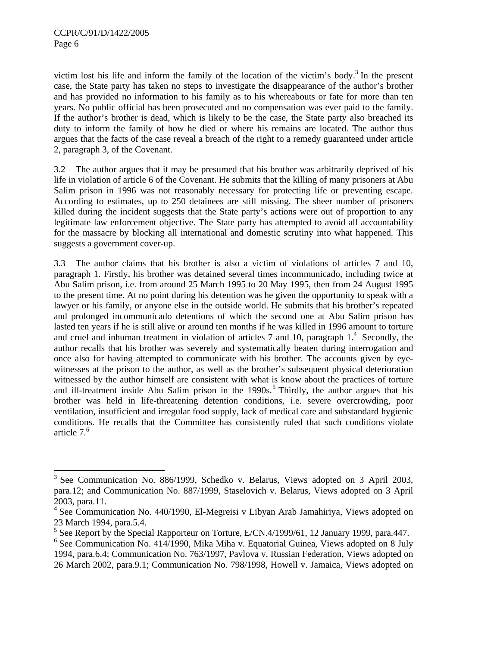-

victim lost his life and inform the family of the location of the victim's body.<sup>3</sup> In the present case, the State party has taken no steps to investigate the disappearance of the author's brother and has provided no information to his family as to his whereabouts or fate for more than ten years. No public official has been prosecuted and no compensation was ever paid to the family. If the author's brother is dead, which is likely to be the case, the State party also breached its duty to inform the family of how he died or where his remains are located. The author thus argues that the facts of the case reveal a breach of the right to a remedy guaranteed under article 2, paragraph 3, of the Covenant.

3.2 The author argues that it may be presumed that his brother was arbitrarily deprived of his life in violation of article 6 of the Covenant. He submits that the killing of many prisoners at Abu Salim prison in 1996 was not reasonably necessary for protecting life or preventing escape. According to estimates, up to 250 detainees are still missing. The sheer number of prisoners killed during the incident suggests that the State party's actions were out of proportion to any legitimate law enforcement objective. The State party has attempted to avoid all accountability for the massacre by blocking all international and domestic scrutiny into what happened. This suggests a government cover-up.

3.3 The author claims that his brother is also a victim of violations of articles 7 and 10, paragraph 1. Firstly, his brother was detained several times incommunicado, including twice at Abu Salim prison, i.e. from around 25 March 1995 to 20 May 1995, then from 24 August 1995 to the present time. At no point during his detention was he given the opportunity to speak with a lawyer or his family, or anyone else in the outside world. He submits that his brother's repeated and prolonged incommunicado detentions of which the second one at Abu Salim prison has lasted ten years if he is still alive or around ten months if he was killed in 1996 amount to torture and cruel and inhuman treatment in violation of articles  $7$  and  $10$ , paragraph  $1<sup>4</sup>$ . Secondly, the author recalls that his brother was severely and systematically beaten during interrogation and once also for having attempted to communicate with his brother. The accounts given by eyewitnesses at the prison to the author, as well as the brother's subsequent physical deterioration witnessed by the author himself are consistent with what is know about the practices of torture and ill-treatment inside Abu Salim prison in the  $1990s$ .<sup>5</sup> Thirdly, the author argues that his brother was held in life-threatening detention conditions, i.e. severe overcrowding, poor ventilation, insufficient and irregular food supply, lack of medical care and substandard hygienic conditions. He recalls that the Committee has consistently ruled that such conditions violate article 7.<sup>6</sup>

<sup>&</sup>lt;sup>3</sup> See Communication No. 886/1999, Schedko v. Belarus, Views adopted on 3 April 2003, para.12; and Communication No. 887/1999, Staselovich v. Belarus, Views adopted on 3 April 2003, para.11.

<sup>&</sup>lt;sup>4</sup> See Communication No. 440/1990, El-Megreisi v Libyan Arab Jamahiriya, Views adopted on 23 March 1994, para.5.4.

<sup>&</sup>lt;sup>5</sup> See Report by the Special Rapporteur on Torture, E/CN.4/1999/61, 12 January 1999, para.447.

 $6$  See Communication No. 414/1990, Mika Miha v. Equatorial Guinea, Views adopted on 8 July 1994, para.6.4; Communication No. 763/1997, Pavlova v. Russian Federation, Views adopted on 26 March 2002, para.9.1; Communication No. 798/1998, Howell v. Jamaica, Views adopted on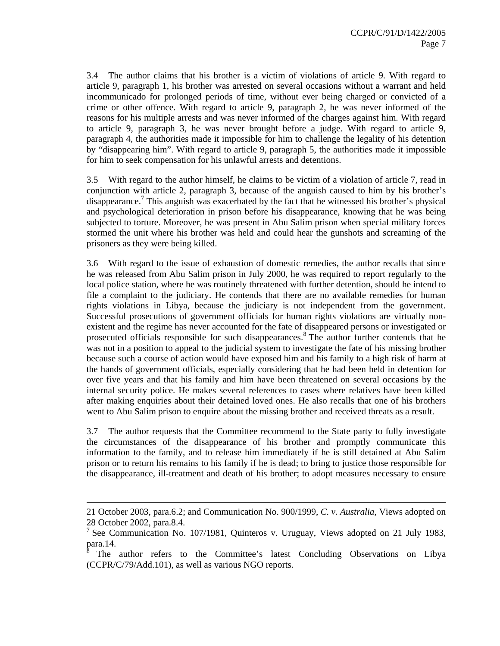3.4 The author claims that his brother is a victim of violations of article 9. With regard to article 9, paragraph 1, his brother was arrested on several occasions without a warrant and held incommunicado for prolonged periods of time, without ever being charged or convicted of a crime or other offence. With regard to article 9, paragraph 2, he was never informed of the reasons for his multiple arrests and was never informed of the charges against him. With regard to article 9, paragraph 3, he was never brought before a judge. With regard to article 9, paragraph 4, the authorities made it impossible for him to challenge the legality of his detention by "disappearing him". With regard to article 9, paragraph 5, the authorities made it impossible for him to seek compensation for his unlawful arrests and detentions.

3.5 With regard to the author himself, he claims to be victim of a violation of article 7, read in conjunction with article 2, paragraph 3, because of the anguish caused to him by his brother's disappearance.<sup>7</sup> This anguish was exacerbated by the fact that he witnessed his brother's physical and psychological deterioration in prison before his disappearance, knowing that he was being subjected to torture. Moreover, he was present in Abu Salim prison when special military forces stormed the unit where his brother was held and could hear the gunshots and screaming of the prisoners as they were being killed.

3.6 With regard to the issue of exhaustion of domestic remedies, the author recalls that since he was released from Abu Salim prison in July 2000, he was required to report regularly to the local police station, where he was routinely threatened with further detention, should he intend to file a complaint to the judiciary. He contends that there are no available remedies for human rights violations in Libya, because the judiciary is not independent from the government. Successful prosecutions of government officials for human rights violations are virtually nonexistent and the regime has never accounted for the fate of disappeared persons or investigated or prosecuted officials responsible for such disappearances.<sup>8</sup> The author further contends that he was not in a position to appeal to the judicial system to investigate the fate of his missing brother because such a course of action would have exposed him and his family to a high risk of harm at the hands of government officials, especially considering that he had been held in detention for over five years and that his family and him have been threatened on several occasions by the internal security police. He makes several references to cases where relatives have been killed after making enquiries about their detained loved ones. He also recalls that one of his brothers went to Abu Salim prison to enquire about the missing brother and received threats as a result.

3.7 The author requests that the Committee recommend to the State party to fully investigate the circumstances of the disappearance of his brother and promptly communicate this information to the family, and to release him immediately if he is still detained at Abu Salim prison or to return his remains to his family if he is dead; to bring to justice those responsible for the disappearance, ill-treatment and death of his brother; to adopt measures necessary to ensure

-

<sup>21</sup> October 2003, para.6.2; and Communication No. 900/1999, *C. v. Australia*, Views adopted on 28 October 2002, para.8.4.

<sup>&</sup>lt;sup>7</sup> See Communication No. 107/1981, Quinteros v. Uruguay, Views adopted on 21 July 1983,  $\frac{\text{para}}{\text{8}}$ 

The author refers to the Committee's latest Concluding Observations on Libya (CCPR/C/79/Add.101), as well as various NGO reports.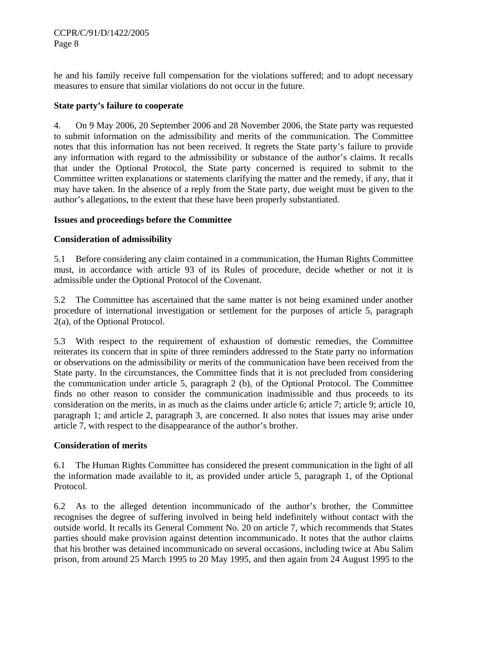he and his family receive full compensation for the violations suffered; and to adopt necessary measures to ensure that similar violations do not occur in the future.

### **State party's failure to cooperate**

4. On 9 May 2006, 20 September 2006 and 28 November 2006, the State party was requested to submit information on the admissibility and merits of the communication. The Committee notes that this information has not been received. It regrets the State party's failure to provide any information with regard to the admissibility or substance of the author's claims. It recalls that under the Optional Protocol, the State party concerned is required to submit to the Committee written explanations or statements clarifying the matter and the remedy, if any, that it may have taken. In the absence of a reply from the State party, due weight must be given to the author's allegations, to the extent that these have been properly substantiated.

## **Issues and proceedings before the Committee**

# **Consideration of admissibility**

5.1 Before considering any claim contained in a communication, the Human Rights Committee must, in accordance with article 93 of its Rules of procedure, decide whether or not it is admissible under the Optional Protocol of the Covenant.

5.2 The Committee has ascertained that the same matter is not being examined under another procedure of international investigation or settlement for the purposes of article 5, paragraph 2(a), of the Optional Protocol.

5.3 With respect to the requirement of exhaustion of domestic remedies, the Committee reiterates its concern that in spite of three reminders addressed to the State party no information or observations on the admissibility or merits of the communication have been received from the State party. In the circumstances, the Committee finds that it is not precluded from considering the communication under article 5, paragraph 2 (b), of the Optional Protocol. The Committee finds no other reason to consider the communication inadmissible and thus proceeds to its consideration on the merits, in as much as the claims under article 6; article 7; article 9; article 10, paragraph 1; and article 2, paragraph 3, are concerned. It also notes that issues may arise under article 7, with respect to the disappearance of the author's brother.

#### **Consideration of merits**

6.1 The Human Rights Committee has considered the present communication in the light of all the information made available to it, as provided under article 5, paragraph 1, of the Optional Protocol.

6.2 As to the alleged detention incommunicado of the author's brother, the Committee recognises the degree of suffering involved in being held indefinitely without contact with the outside world. It recalls its General Comment No. 20 on article 7, which recommends that States parties should make provision against detention incommunicado. It notes that the author claims that his brother was detained incommunicado on several occasions, including twice at Abu Salim prison, from around 25 March 1995 to 20 May 1995, and then again from 24 August 1995 to the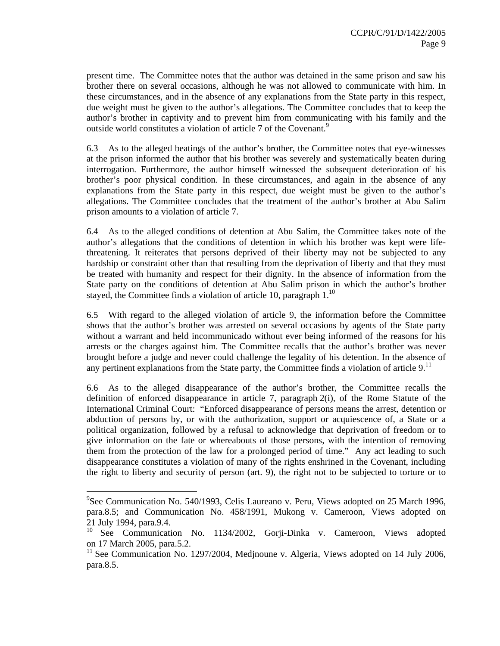present time. The Committee notes that the author was detained in the same prison and saw his brother there on several occasions, although he was not allowed to communicate with him. In these circumstances, and in the absence of any explanations from the State party in this respect, due weight must be given to the author's allegations. The Committee concludes that to keep the author's brother in captivity and to prevent him from communicating with his family and the outside world constitutes a violation of article 7 of the Covenant.<sup>9</sup>

6.3 As to the alleged beatings of the author's brother, the Committee notes that eye-witnesses at the prison informed the author that his brother was severely and systematically beaten during interrogation. Furthermore, the author himself witnessed the subsequent deterioration of his brother's poor physical condition. In these circumstances, and again in the absence of any explanations from the State party in this respect, due weight must be given to the author's allegations. The Committee concludes that the treatment of the author's brother at Abu Salim prison amounts to a violation of article 7.

6.4 As to the alleged conditions of detention at Abu Salim, the Committee takes note of the author's allegations that the conditions of detention in which his brother was kept were lifethreatening. It reiterates that persons deprived of their liberty may not be subjected to any hardship or constraint other than that resulting from the deprivation of liberty and that they must be treated with humanity and respect for their dignity. In the absence of information from the State party on the conditions of detention at Abu Salim prison in which the author's brother stayed, the Committee finds a violation of article 10, paragraph  $1<sup>10</sup>$ 

6.5 With regard to the alleged violation of article 9, the information before the Committee shows that the author's brother was arrested on several occasions by agents of the State party without a warrant and held incommunicado without ever being informed of the reasons for his arrests or the charges against him. The Committee recalls that the author's brother was never brought before a judge and never could challenge the legality of his detention. In the absence of any pertinent explanations from the State party, the Committee finds a violation of article  $9$ .<sup>11</sup>

6.6 As to the alleged disappearance of the author's brother, the Committee recalls the definition of enforced disappearance in article 7, paragraph 2(i), of the Rome Statute of the International Criminal Court: "Enforced disappearance of persons means the arrest, detention or abduction of persons by, or with the authorization, support or acquiescence of, a State or a political organization, followed by a refusal to acknowledge that deprivation of freedom or to give information on the fate or whereabouts of those persons, with the intention of removing them from the protection of the law for a prolonged period of time." Any act leading to such disappearance constitutes a violation of many of the rights enshrined in the Covenant, including the right to liberty and security of person (art. 9), the right not to be subjected to torture or to

<sup>&</sup>lt;sup>9</sup>See Communication No. 540/1993, Celis Laureano v. Peru, Views adopted on 25 March 1996, para.8.5; and Communication No. 458/1991, Mukong v. Cameroon, Views adopted on 21 July 1994, para.9.4.

<sup>&</sup>lt;sup>10</sup> See Communication No. 1134/2002, Gorji-Dinka v. Cameroon, Views adopted on 17 March 2005, para.5.2.

<sup>&</sup>lt;sup>11</sup> See Communication No. 1297/2004, Medjnoune v. Algeria, Views adopted on 14 July 2006, para.8.5.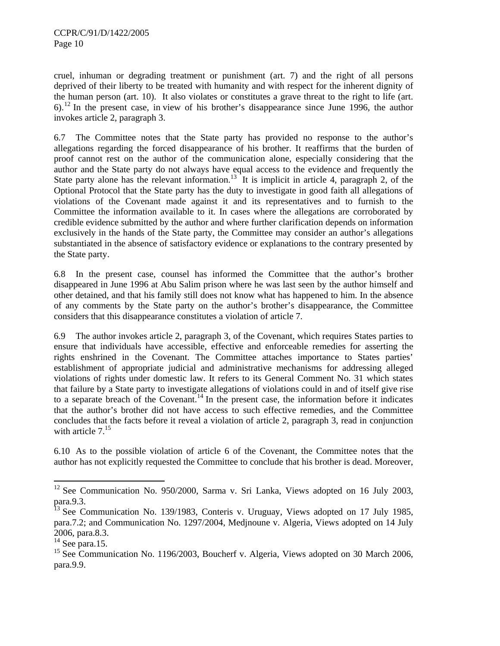cruel, inhuman or degrading treatment or punishment (art. 7) and the right of all persons deprived of their liberty to be treated with humanity and with respect for the inherent dignity of the human person (art. 10). It also violates or constitutes a grave threat to the right to life (art.  $6$ ).<sup>12</sup> In the present case, in view of his brother's disappearance since June 1996, the author invokes article 2, paragraph 3.

6.7 The Committee notes that the State party has provided no response to the author's allegations regarding the forced disappearance of his brother. It reaffirms that the burden of proof cannot rest on the author of the communication alone, especially considering that the author and the State party do not always have equal access to the evidence and frequently the State party alone has the relevant information.<sup>13</sup> It is implicit in article 4, paragraph 2, of the Optional Protocol that the State party has the duty to investigate in good faith all allegations of violations of the Covenant made against it and its representatives and to furnish to the Committee the information available to it. In cases where the allegations are corroborated by credible evidence submitted by the author and where further clarification depends on information exclusively in the hands of the State party, the Committee may consider an author's allegations substantiated in the absence of satisfactory evidence or explanations to the contrary presented by the State party.

6.8 In the present case, counsel has informed the Committee that the author's brother disappeared in June 1996 at Abu Salim prison where he was last seen by the author himself and other detained, and that his family still does not know what has happened to him. In the absence of any comments by the State party on the author's brother's disappearance, the Committee considers that this disappearance constitutes a violation of article 7.

6.9 The author invokes article 2, paragraph 3, of the Covenant, which requires States parties to ensure that individuals have accessible, effective and enforceable remedies for asserting the rights enshrined in the Covenant. The Committee attaches importance to States parties' establishment of appropriate judicial and administrative mechanisms for addressing alleged violations of rights under domestic law. It refers to its General Comment No. 31 which states that failure by a State party to investigate allegations of violations could in and of itself give rise to a separate breach of the Covenant.<sup>14</sup> In the present case, the information before it indicates that the author's brother did not have access to such effective remedies, and the Committee concludes that the facts before it reveal a violation of article 2, paragraph 3, read in conjunction with article  $7<sup>15</sup>$ 

6.10 As to the possible violation of article 6 of the Covenant, the Committee notes that the author has not explicitly requested the Committee to conclude that his brother is dead. Moreover,

l

 $12$  See Communication No. 950/2000, Sarma v. Sri Lanka, Views adopted on 16 July 2003, para.9.3.

 $^{13}$  See Communication No. 139/1983, Conteris v. Uruguay, Views adopted on 17 July 1985, para.7.2; and Communication No. 1297/2004, Medjnoune v. Algeria, Views adopted on 14 July 2006, para.8.3.

 $14$  See para.15.

<sup>&</sup>lt;sup>15</sup> See Communication No. 1196/2003, Boucherf v. Algeria, Views adopted on 30 March 2006, para.9.9.